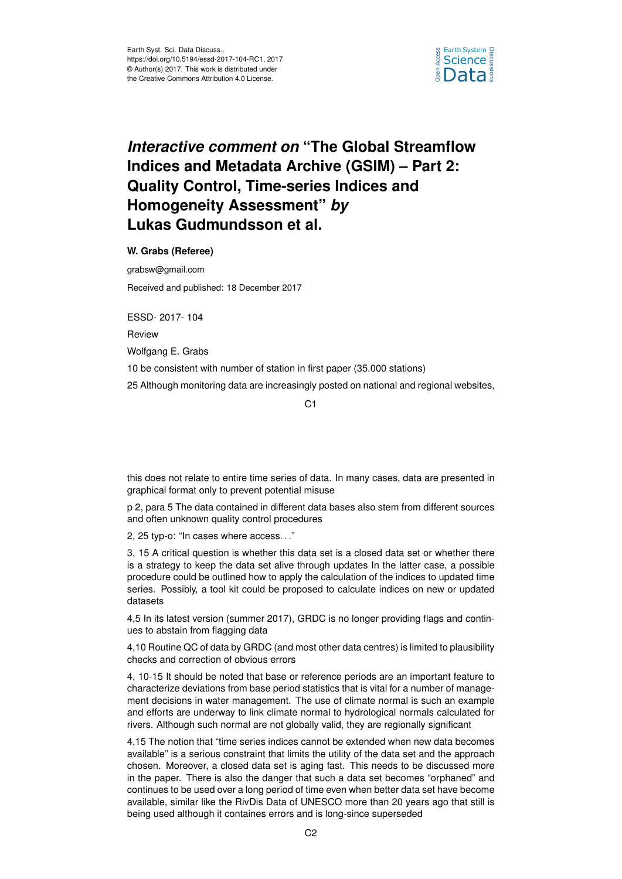

## *Interactive comment on* **"The Global Streamflow Indices and Metadata Archive (GSIM) – Part 2: Quality Control, Time-series Indices and Homogeneity Assessment"** *by* **Lukas Gudmundsson et al.**

**W. Grabs (Referee)**

grabsw@gmail.com Received and published: 18 December 2017

ESSD- 2017- 104

Review

Wolfgang E. Grabs

10 be consistent with number of station in first paper (35.000 stations)

25 Although monitoring data are increasingly posted on national and regional websites,

C1

this does not relate to entire time series of data. In many cases, data are presented in graphical format only to prevent potential misuse

p 2, para 5 The data contained in different data bases also stem from different sources and often unknown quality control procedures

2, 25 typ-o: "In cases where access. . ."

3, 15 A critical question is whether this data set is a closed data set or whether there is a strategy to keep the data set alive through updates In the latter case, a possible procedure could be outlined how to apply the calculation of the indices to updated time series. Possibly, a tool kit could be proposed to calculate indices on new or updated datasets

4,5 In its latest version (summer 2017), GRDC is no longer providing flags and continues to abstain from flagging data

4,10 Routine QC of data by GRDC (and most other data centres) is limited to plausibility checks and correction of obvious errors

4, 10-15 It should be noted that base or reference periods are an important feature to characterize deviations from base period statistics that is vital for a number of management decisions in water management. The use of climate normal is such an example and efforts are underway to link climate normal to hydrological normals calculated for rivers. Although such normal are not globally valid, they are regionally significant

4,15 The notion that "time series indices cannot be extended when new data becomes available" is a serious constraint that limits the utility of the data set and the approach chosen. Moreover, a closed data set is aging fast. This needs to be discussed more in the paper. There is also the danger that such a data set becomes "orphaned" and continues to be used over a long period of time even when better data set have become available, similar like the RivDis Data of UNESCO more than 20 years ago that still is being used although it containes errors and is long-since superseded